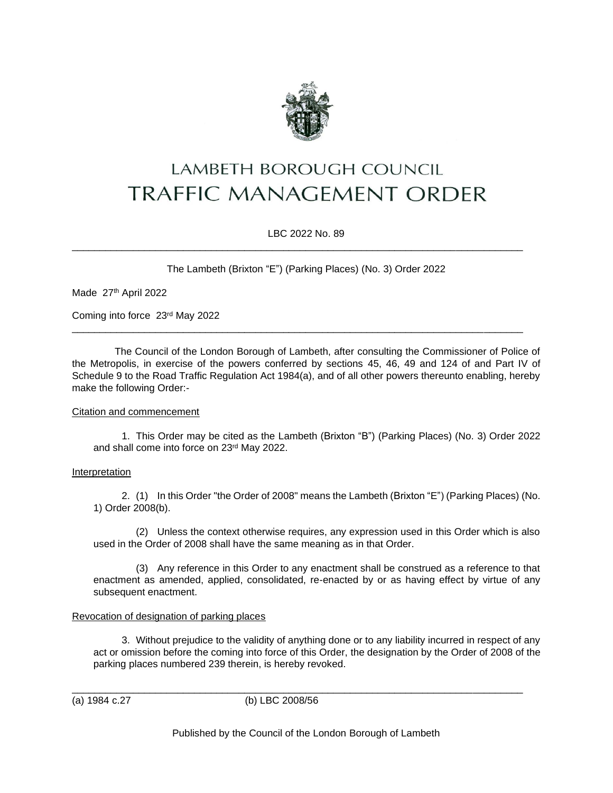

# **LAMBETH BOROUGH COUNCIL TRAFFIC MANAGEMENT ORDER**

LBC 2022 No. 89

\_\_\_\_\_\_\_\_\_\_\_\_\_\_\_\_\_\_\_\_\_\_\_\_\_\_\_\_\_\_\_\_\_\_\_\_\_\_\_\_\_\_\_\_\_\_\_\_\_\_\_\_\_\_\_\_\_\_\_\_\_\_\_\_\_\_\_\_\_\_\_\_\_\_\_\_\_\_\_\_\_

\_\_\_\_\_\_\_\_\_\_\_\_\_\_\_\_\_\_\_\_\_\_\_\_\_\_\_\_\_\_\_\_\_\_\_\_\_\_\_\_\_\_\_\_\_\_\_\_\_\_\_\_\_\_\_\_\_\_\_\_\_\_\_\_\_\_\_\_\_\_\_\_\_\_\_\_\_\_\_\_\_

The Lambeth (Brixton "E") (Parking Places) (No. 3) Order 2022

Made 27<sup>th</sup> April 2022

Coming into force 23rd May 2022

The Council of the London Borough of Lambeth, after consulting the Commissioner of Police of the Metropolis, in exercise of the powers conferred by sections 45, 46, 49 and 124 of and Part IV of Schedule 9 to the Road Traffic Regulation Act 1984(a), and of all other powers thereunto enabling, hereby make the following Order:-

## Citation and commencement

1. This Order may be cited as the Lambeth (Brixton "B") (Parking Places) (No. 3) Order 2022 and shall come into force on 23rd May 2022.

## Interpretation

2. (1) In this Order "the Order of 2008" means the Lambeth (Brixton "E") (Parking Places) (No. 1) Order 2008(b).

(2) Unless the context otherwise requires, any expression used in this Order which is also used in the Order of 2008 shall have the same meaning as in that Order.

(3) Any reference in this Order to any enactment shall be construed as a reference to that enactment as amended, applied, consolidated, re-enacted by or as having effect by virtue of any subsequent enactment.

## Revocation of designation of parking places

3. Without prejudice to the validity of anything done or to any liability incurred in respect of any act or omission before the coming into force of this Order, the designation by the Order of 2008 of the parking places numbered 239 therein, is hereby revoked.

(a) 1984 c.27 (b) LBC 2008/56

\_\_\_\_\_\_\_\_\_\_\_\_\_\_\_\_\_\_\_\_\_\_\_\_\_\_\_\_\_\_\_\_\_\_\_\_\_\_\_\_\_\_\_\_\_\_\_\_\_\_\_\_\_\_\_\_\_\_\_\_\_\_\_\_\_\_\_\_\_\_\_\_\_\_\_\_\_\_\_\_\_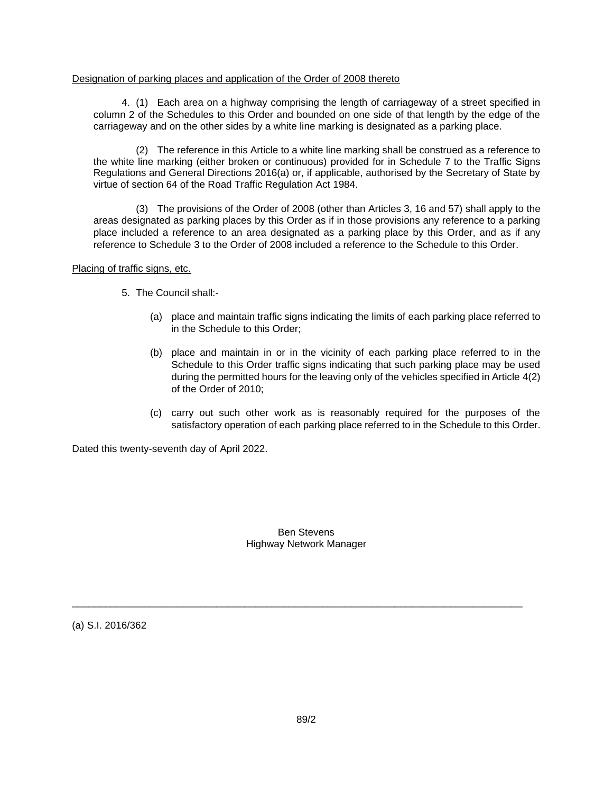### Designation of parking places and application of the Order of 2008 thereto

4. (1) Each area on a highway comprising the length of carriageway of a street specified in column 2 of the Schedules to this Order and bounded on one side of that length by the edge of the carriageway and on the other sides by a white line marking is designated as a parking place.

(2) The reference in this Article to a white line marking shall be construed as a reference to the white line marking (either broken or continuous) provided for in Schedule 7 to the Traffic Signs Regulations and General Directions 2016(a) or, if applicable, authorised by the Secretary of State by virtue of section 64 of the Road Traffic Regulation Act 1984.

(3) The provisions of the Order of 2008 (other than Articles 3, 16 and 57) shall apply to the areas designated as parking places by this Order as if in those provisions any reference to a parking place included a reference to an area designated as a parking place by this Order, and as if any reference to Schedule 3 to the Order of 2008 included a reference to the Schedule to this Order.

Placing of traffic signs, etc.

- 5. The Council shall:-
	- (a) place and maintain traffic signs indicating the limits of each parking place referred to in the Schedule to this Order;
	- (b) place and maintain in or in the vicinity of each parking place referred to in the Schedule to this Order traffic signs indicating that such parking place may be used during the permitted hours for the leaving only of the vehicles specified in Article 4(2) of the Order of 2010;
	- (c) carry out such other work as is reasonably required for the purposes of the satisfactory operation of each parking place referred to in the Schedule to this Order.

Dated this twenty-seventh day of April 2022.

Ben Stevens Highway Network Manager

\_\_\_\_\_\_\_\_\_\_\_\_\_\_\_\_\_\_\_\_\_\_\_\_\_\_\_\_\_\_\_\_\_\_\_\_\_\_\_\_\_\_\_\_\_\_\_\_\_\_\_\_\_\_\_\_\_\_\_\_\_\_\_\_\_\_\_\_\_\_\_\_\_\_\_\_\_\_\_\_\_

(a) S.I. 2016/362